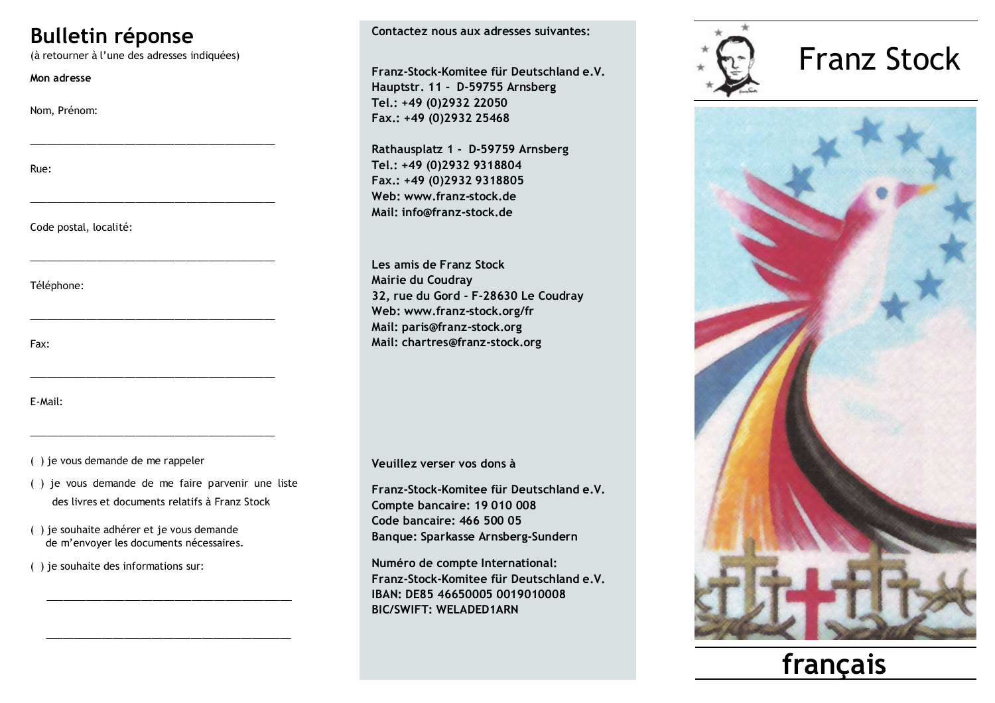## **Bulletin réponse**

(à retourner à l'une des adresses indiquées)

Mon adresse

Nom. Prénom:

Rue:

Code postal, localité:

Téléphone:

Fax:

E-Mail:

() je vous demande de me rappeler

- () je vous demande de me faire parvenir une liste des livres et documents relatifs à Franz Stock
- () je souhaite adhérer et je vous demande de m'envoyer les documents nécessaires.
- () je souhaite des informations sur:

Contactez nous aux adresses suivantes:

Franz-Stock-Komitee für Deutschland e.V. Hauptstr. 11 - D-59755 Arnsberg Tel.: +49 (0)2932 22050 Fax.: +49 (0)2932 25468

Rathausplatz 1 - D-59759 Arnsberg Tel.: +49 (0)2932 9318804 Fax.: +49 (0)2932 9318805 Web: www.franz-stock.de Mail: info@franz-stock.de

Les amis de Franz Stock Mairie du Coudray 32, rue du Gord - F-28630 Le Coudray Web: www.franz-stock.org/fr Mail: paris@franz-stock.org Mail: chartres@franz-stock.org

Veuillez verser vos dons à

Franz-Stock-Komitee für Deutschland e.V. Compte bancaire: 19 010 008 Code bancaire: 466 500 05 Banque: Sparkasse Arnsberg-Sundern

Numéro de compte International: Franz-Stock-Komitee für Deutschland e.V. IBAN: DE85 46650005 0019010008 **BIC/SWIFT: WFI ADFD1ARN** 



## **Franz Stock**



français